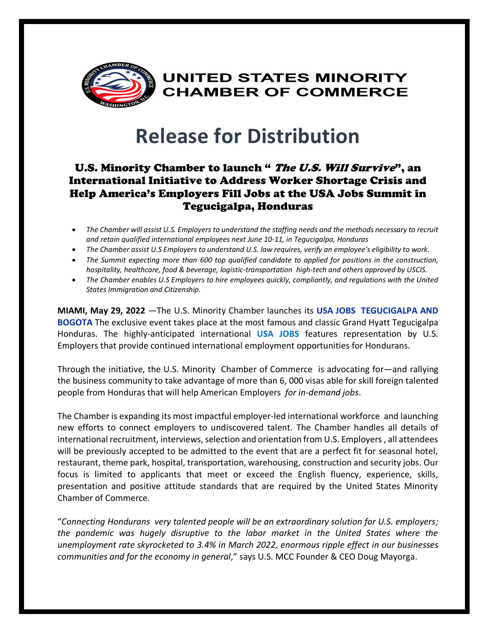

**UNITED STATES MINORITY CHAMBER OF COMMERCE** 

# **Release for Distribution**

### U.S. Minority Chamber to launch " The U.S. Will Survive", an International Initiative to Address Worker Shortage Crisis and Help America's Employers Fill Jobs at the USA Jobs Summit in Tegucigalpa, Honduras

- *The Chamber will assist U.S. Employers to understand the staffing needs and the methods necessary to recruit and retain qualified international employees next June 10-11, in Tegucigalpa, Honduras*
- *The Chamber assist U.S Employers to understand U.S. law requires, verify an employee's eligibility to work.*
- *The Summit expecting more than 600 top qualified candidate to applied for positions in the construction, hospitality, healthcare, food & beverage, logistic-transportation high-tech and others approved by USCIS.*
- *The Chamber enables U.S Employers to hire employees quickly, compliantly, and regulations with the United States Immigration and Citizenship.*

**MIAMI, May 29, 2022** —The U.S. Minority Chamber launches its **USA JOBS TEGUCIGALPA AND BOGOTA** The exclusive event takes place at the most famous and classic Grand Hyatt Tegucigalpa Honduras. The highly-anticipated international **USA JOBS** features representation by U.S. Employers that provide continued international employment opportunities for Hondurans.

Through the initiative, the U.S. Minority Chamber of Commerce is advocating for—and rallying the business community to take advantage of more than 6, 000 visas able for skill foreign talented people from Honduras that will help American Employers *for in-demand jobs*.

The Chamber is expanding its most impactful employer-led international workforce and launching new efforts to connect employers to undiscovered talent. The Chamber handles all details of international recruitment, interviews, selection and orientation from U.S. Employers , all attendees will be previously accepted to be admitted to the event that are a perfect fit for seasonal hotel, restaurant, theme park, hospital, transportation, warehousing, construction and security jobs. Our focus is limited to applicants that meet or exceed the English fluency, experience, skills, presentation and positive attitude standards that are required by the United States Minority Chamber of Commerce.

"*Connecting Hondurans very talented people will be an extraordinary solution for U.S. employers; the pandemic was hugely disruptive to the labor market in the United States where the unemployment rate skyrocketed to 3.4% in March 2022, enormous ripple effect in our businesses communities and for the economy in general*," says U.S. MCC Founder & CEO Doug Mayorga.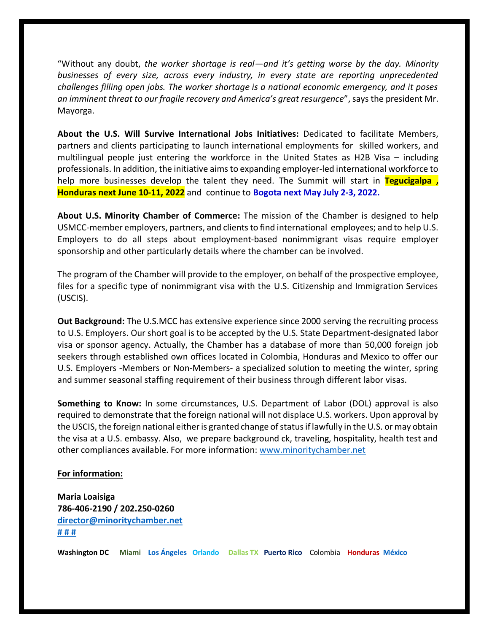"Without any doubt, *the worker shortage is real—and it's getting worse by the day. Minority businesses of every size, across every industry, in every state are reporting unprecedented challenges filling open jobs. The worker shortage is a national economic emergency, and it poses an imminent threat to our fragile recovery and America's great resurgence*", says the president Mr. Mayorga.

**About the U.S. Will Survive International Jobs Initiatives:** Dedicated to facilitate Members, partners and clients participating to launch international employments for skilled workers, and multilingual people just entering the workforce in the United States as H2B Visa – including professionals. In addition, the initiative aims to expanding employer-led international workforce to help more businesses develop the talent they need. The Summit will start in **Tegucigalpa , Honduras next June 10-11, 2022** and continue to **Bogota next May July 2-3, 2022.** 

**About U.S. Minority Chamber of Commerce:** The mission of the Chamber is designed to help USMCC-member employers, partners, and clients to find international employees; and to help U.S. Employers to do all steps about employment-based nonimmigrant visas require employer sponsorship and other particularly details where the chamber can be involved.

The program of the Chamber will provide to the employer, on behalf of the prospective employee, files for a specific type of nonimmigrant visa with the U.S. Citizenship and Immigration Services (USCIS).

**Out Background:** The U.S.MCC has extensive experience since 2000 serving the recruiting process to U.S. Employers. Our short goal is to be accepted by the U.S. State Department-designated labor visa or sponsor agency. Actually, the Chamber has a database of more than 50,000 foreign job seekers through established own offices located in Colombia, Honduras and Mexico to offer our U.S. Employers -Members or Non-Members- a specialized solution to meeting the winter, spring and summer seasonal staffing requirement of their business through different labor visas.

**Something to Know:** In some circumstances, U.S. Department of Labor (DOL) approval is also required to demonstrate that the foreign national will not displace U.S. workers. Upon approval by the USCIS, the foreign national either is granted change of status if lawfully in the U.S. or may obtain the visa at a U.S. embassy. Also, we prepare background ck, traveling, hospitality, health test and other compliances available. For more information: [www.minoritychamber.net](http://www.minoritychamber.net/)

#### **For information:**

**Maria Loaisiga 786-406-2190 / 202.250-0260 [director@minoritychamber.net](mailto:director@minoritychamber.net) # # #**

**Washington DC Miami Los Ángeles Orlando Dallas TX Puerto Rico** Colombia **Honduras México**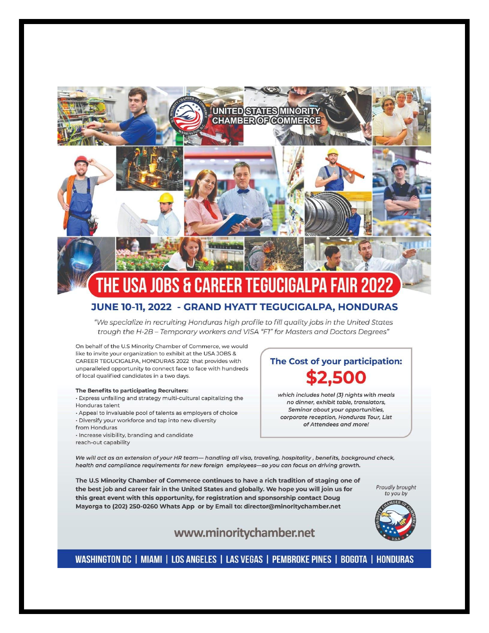

#### JUNE 10-11, 2022 - GRAND HYATT TEGUCIGALPA, HONDURAS

"We specialize in recruiting Honduras high profile to fill quality jobs in the United States trough the H-2B - Temporary workers and VISA "F1" for Masters and Doctors Degrees"

On behalf of the U.S Minority Chamber of Commerce, we would like to invite your organization to exhibit at the USA JOBS & CAREER TEGUCIGALPA, HONDURAS 2022 that provides with unparalleled opportunity to connect face to face with hundreds of local qualified candidates in a two days.

#### The Benefits to participating Recruiters:

· Express unfailing and strategy multi-cultural capitalizing the Honduras talent

- · Appeal to invaluable pool of talents as employers of choice · Diversify your workforce and tap into new diversity
- from Honduras

· Increase visibility, branding and candidate

reach-out capability

## The Cost of your participation: \$2,500

which includes hotel (3) nights with meals no dinner, exhibit table, translators, Seminar about your opportunities, corporate reception, Honduras Tour, List of Attendees and more!

We will act as an extension of your HR team— handling all visa, traveling, hospitality, benefits, background check, health and compliance requirements for new foreign employees-so you can focus on driving growth.

The U.S Minority Chamber of Commerce continues to have a rich tradition of staging one of the best job and career fair in the United States and globally. We hope you will join us for this great event with this opportunity, for registration and sponsorship contact Doug Mayorga to (202) 250-0260 Whats App or by Email to: director@minoritychamber.net

Proudly brought to you by



#### www.minoritychamber.net

WASHINGTON DC | MIAMI | LOS ANGELES | LAS VEGAS | PEMBROKE PINES | BOGOTA | HONDURAS